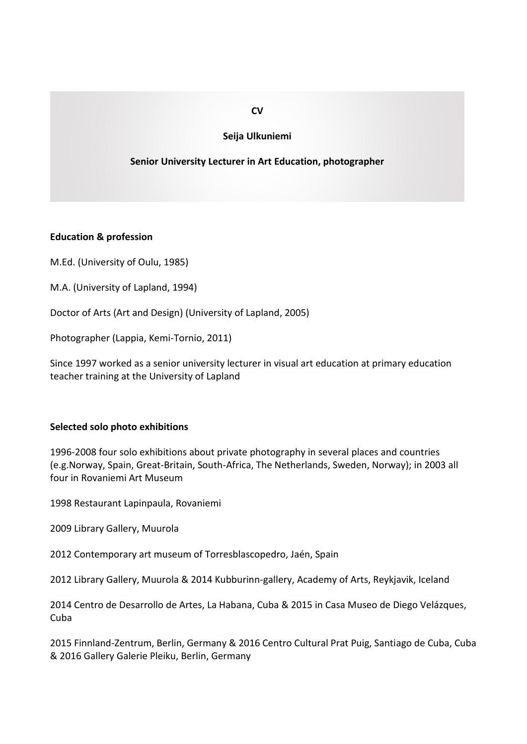# **Seija Ulkuniemi**

# **Senior University Lecturer in Art Education, photographer**

### **Education & profession**

M.Ed. (University of Oulu, 1985)

M.A. (University of Lapland, 1994)

Doctor of Arts (Art and Design) (University of Lapland, 2005)

Photographer (Lappia, Kemi-Tornio, 2011)

Since 1997 worked as a senior university lecturer in visual art education at primary education teacher training at the University of Lapland

### **Selected solo photo exhibitions**

1996-2008 four solo exhibitions about private photography in several places and countries (e.g.Norway, Spain, Great-Britain, South-Africa, The Netherlands, Sweden, Norway); in 2003 all four in Rovaniemi Art Museum

1998 Restaurant Lapinpaula, Rovaniemi

2009 Library Gallery, Muurola

2012 Contemporary art museum of Torresblascopedro, Jaén, Spain

2012 Library Gallery, Muurola & 2014 Kubburinn-gallery, Academy of Arts, Reykjavik, Iceland

2014 Centro de Desarrollo de Artes, La Habana, Cuba & 2015 in Casa Museo de Diego Velázques, Cuba

2015 Finnland-Zentrum, Berlin, Germany & 2016 Centro Cultural Prat Puig, Santiago de Cuba, Cuba & 2016 Gallery Galerie Pleiku, Berlin, Germany

## **CV**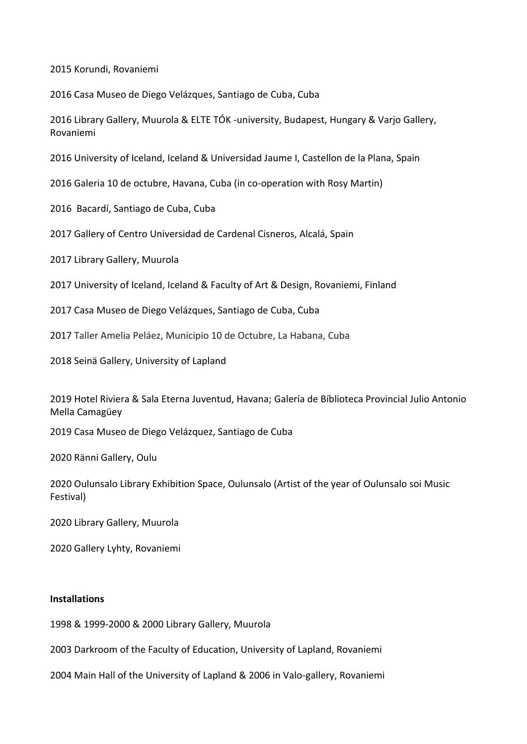2015 Korundi, Rovaniemi

2016 Casa Museo de Diego Velázques, Santiago de Cuba, Cuba

2016 Library Gallery, Muurola & ELTE TÓK -university, Budapest, Hungary & Varjo Gallery, Rovaniemi

2016 University of Iceland, Iceland & Universidad Jaume I, Castellon de la Plana, Spain

2016 Galeria 10 de octubre, Havana, Cuba (in co-operation with Rosy Martin)

2016 Bacardí, Santiago de Cuba, Cuba

2017 Gallery of Centro Universidad de Cardenal Cisneros, Alcalá, Spain

2017 Library Gallery, Muurola

2017 University of Iceland, Iceland & Faculty of Art & Design, Rovaniemi, Finland

2017 Casa Museo de Diego Velázques, Santiago de Cuba, Cuba

2017 Taller Amelia Peláez, Municipio 10 de Octubre, La Habana, Cuba

2018 Seinä Gallery, University of Lapland

2019 Hotel Riviera & Sala Eterna Juventud, Havana; Galería de Bíblioteca Provincial Julio Antonio Mella Camagüey

2019 Casa Museo de Diego Velázquez, Santiago de Cuba

2020 Ränni Gallery, Oulu

2020 Oulunsalo Library Exhibition Space, Oulunsalo (Artist of the year of Oulunsalo soi Music Festival)

2020 Library Gallery, Muurola

2020 Gallery Lyhty, Rovaniemi

# **Installations**

1998 & 1999-2000 & 2000 Library Gallery, Muurola

2003 Darkroom of the Faculty of Education, University of Lapland, Rovaniemi

2004 Main Hall of the University of Lapland & 2006 in Valo-gallery, Rovaniemi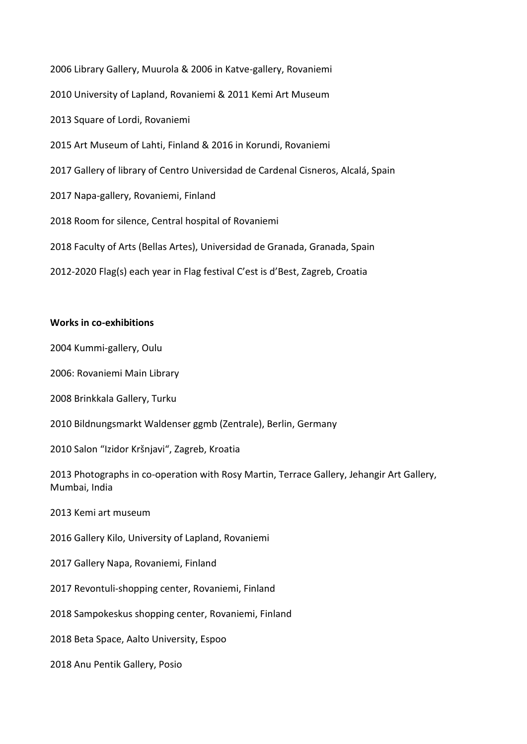2006 Library Gallery, Muurola & 2006 in Katve-gallery, Rovaniemi 2010 University of Lapland, Rovaniemi & 2011 Kemi Art Museum 2013 Square of Lordi, Rovaniemi 2015 Art Museum of Lahti, Finland & 2016 in Korundi, Rovaniemi 2017 Gallery of library of Centro Universidad de Cardenal Cisneros, Alcalá, Spain 2017 Napa-gallery, Rovaniemi, Finland 2018 Room for silence, Central hospital of Rovaniemi 2018 Faculty of Arts (Bellas Artes), Universidad de Granada, Granada, Spain 2012-2020 Flag(s) each year in Flag festival C'est is d'Best, Zagreb, Croatia

### **Works in co-exhibitions**

2004 Kummi-gallery, Oulu

2006: Rovaniemi Main Library

2008 Brinkkala Gallery, Turku

2010 Bildnungsmarkt Waldenser ggmb (Zentrale), Berlin, Germany

2010 Salon "Izidor Kršnjavi", Zagreb, Kroatia

2013 Photographs in co-operation with Rosy Martin, Terrace Gallery, Jehangir Art Gallery, Mumbai, India

2013 Kemi art museum

2016 Gallery Kilo, University of Lapland, Rovaniemi

2017 Gallery Napa, Rovaniemi, Finland

2017 Revontuli-shopping center, Rovaniemi, Finland

2018 Sampokeskus shopping center, Rovaniemi, Finland

2018 Beta Space, Aalto University, Espoo

2018 Anu Pentik Gallery, Posio